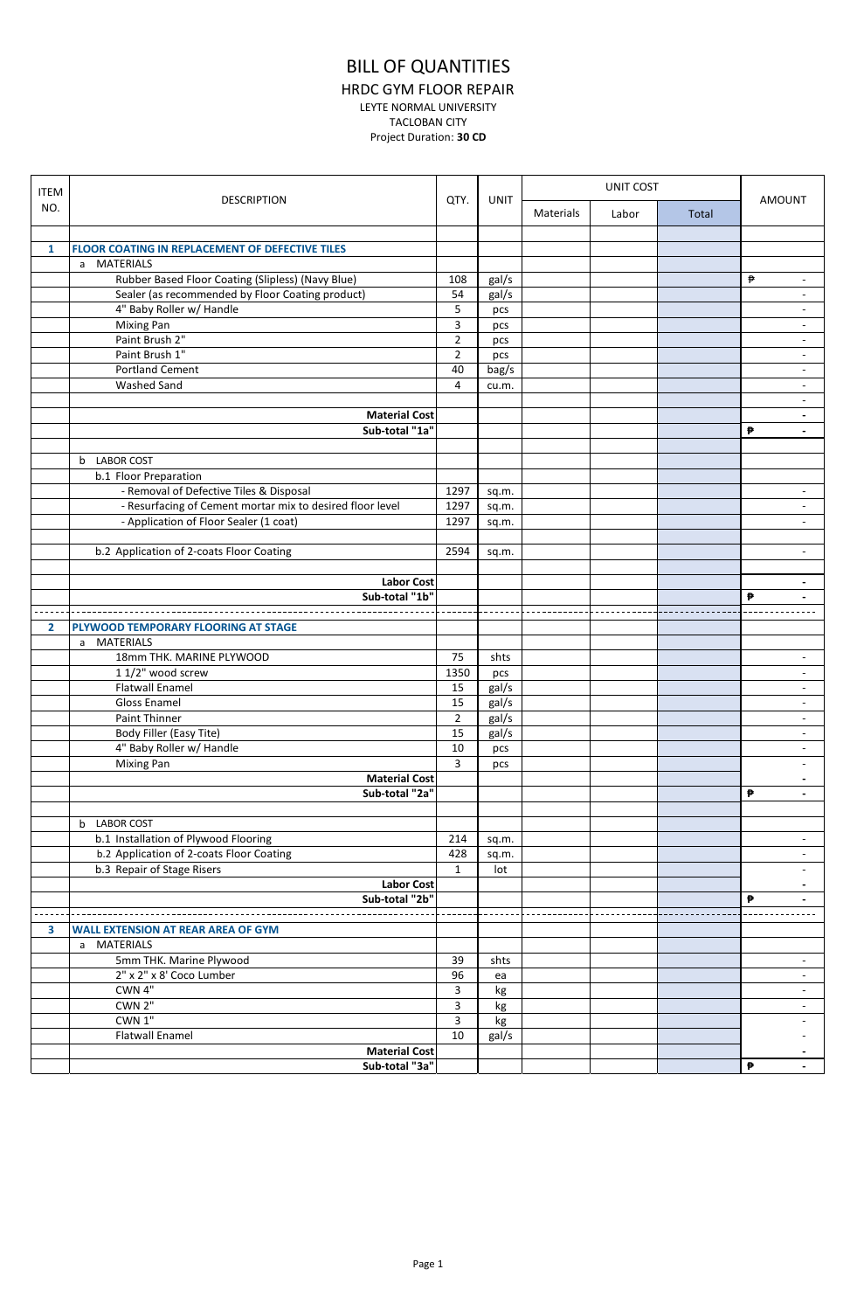## BILL OF QUANTITIES

HRDC GYM FLOOR REPAIR

LEYTE NORMAL UNIVERSITY

TACLOBAN CITY

Project Duration: **30 CD**

| <b>ITEM</b>  | <b>DESCRIPTION</b>                                        | QTY.           | <b>UNIT</b> | UNIT COST |       |       |                               |
|--------------|-----------------------------------------------------------|----------------|-------------|-----------|-------|-------|-------------------------------|
| NO.          |                                                           |                |             | Materials | Labor | Total | <b>AMOUNT</b>                 |
|              |                                                           |                |             |           |       |       |                               |
| 1            | <b>FLOOR COATING IN REPLACEMENT OF DEFECTIVE TILES</b>    |                |             |           |       |       |                               |
|              | a MATERIALS                                               |                |             |           |       |       |                               |
|              | Rubber Based Floor Coating (Slipless) (Navy Blue)         | 108            | gal/s       |           |       |       | ₱<br>$\overline{\phantom{a}}$ |
|              | Sealer (as recommended by Floor Coating product)          | 54             | gal/s       |           |       |       | $\blacksquare$                |
|              | 4" Baby Roller w/ Handle                                  | 5              | pcs         |           |       |       | $\overline{\phantom{a}}$      |
|              | <b>Mixing Pan</b>                                         | 3              | pcs         |           |       |       | $\overline{\phantom{a}}$      |
|              | Paint Brush 2"                                            | $\overline{2}$ | pcs         |           |       |       | $\overline{\phantom{a}}$      |
|              | Paint Brush 1"                                            | $\overline{2}$ | pcs         |           |       |       | $\overline{\phantom{a}}$      |
|              | <b>Portland Cement</b>                                    | 40             | bag/s       |           |       |       | $\overline{\phantom{a}}$      |
|              | Washed Sand                                               | 4              | cu.m.       |           |       |       | $\overline{\phantom{a}}$      |
|              |                                                           |                |             |           |       |       | $\overline{\phantom{a}}$      |
|              | <b>Material Cost</b>                                      |                |             |           |       |       | $\blacksquare$                |
|              | Sub-total "1a"                                            |                |             |           |       |       | ₱<br>$\overline{\phantom{a}}$ |
|              |                                                           |                |             |           |       |       |                               |
|              | b LABOR COST                                              |                |             |           |       |       |                               |
|              | b.1 Floor Preparation                                     |                |             |           |       |       |                               |
|              | - Removal of Defective Tiles & Disposal                   | 1297           | sq.m.       |           |       |       | $\blacksquare$                |
|              | - Resurfacing of Cement mortar mix to desired floor level | 1297           | sq.m.       |           |       |       | $\overline{\phantom{a}}$      |
|              | - Application of Floor Sealer (1 coat)                    | 1297           | sq.m.       |           |       |       | $\sim$                        |
|              |                                                           |                |             |           |       |       |                               |
|              | b.2 Application of 2-coats Floor Coating                  | 2594           | sq.m.       |           |       |       | $\overline{a}$                |
|              |                                                           |                |             |           |       |       |                               |
|              | <b>Labor Cost</b>                                         |                |             |           |       |       | $\blacksquare$                |
|              | Sub-total "1b"                                            |                |             |           |       |       | ₱                             |
|              |                                                           |                |             |           |       |       |                               |
| $\mathbf{2}$ | PLYWOOD TEMPORARY FLOORING AT STAGE                       |                |             |           |       |       |                               |
|              | a MATERIALS                                               |                |             |           |       |       |                               |
|              | 18mm THK. MARINE PLYWOOD                                  | 75             | shts        |           |       |       | $\overline{\phantom{a}}$      |
|              | 1 1/2" wood screw                                         | 1350           | pcs         |           |       |       | $\overline{\phantom{a}}$      |
|              | <b>Flatwall Enamel</b>                                    | 15             | gal/s       |           |       |       | $\overline{\phantom{a}}$      |
|              | Gloss Enamel                                              | 15             | gal/s       |           |       |       | $\overline{\phantom{a}}$      |
|              | Paint Thinner                                             | $\overline{2}$ | gal/s       |           |       |       | $\overline{\phantom{a}}$      |
|              | Body Filler (Easy Tite)                                   | 15             | gal/s       |           |       |       | $\overline{\phantom{a}}$      |
|              | 4" Baby Roller w/ Handle                                  | 10             | pcs         |           |       |       | $\overline{\phantom{a}}$      |
|              | <b>Mixing Pan</b>                                         | 3              | pcs         |           |       |       | $\blacksquare$                |
|              | <b>Material Cost</b>                                      |                |             |           |       |       |                               |
|              | Sub-total "2a"                                            |                |             |           |       |       | ₱<br>$\blacksquare$           |
|              |                                                           |                |             |           |       |       |                               |
|              | b LABOR COST                                              |                |             |           |       |       |                               |
|              | b.1 Installation of Plywood Flooring                      | 214            | sq.m.       |           |       |       | $\overline{\phantom{a}}$      |
|              | b.2 Application of 2-coats Floor Coating                  | 428            | sq.m.       |           |       |       | $\overline{\phantom{a}}$      |
|              | b.3 Repair of Stage Risers                                | $\mathbf{1}$   | lot         |           |       |       | $\blacksquare$                |
|              | <b>Labor Cost</b>                                         |                |             |           |       |       | $\overline{\phantom{a}}$      |
|              | Sub-total "2b"                                            |                |             |           |       |       | ₱                             |
|              |                                                           |                |             |           |       |       |                               |
| 3            | <b>WALL EXTENSION AT REAR AREA OF GYM</b>                 |                |             |           |       |       |                               |
|              | a MATERIALS                                               |                |             |           |       |       |                               |
|              | 5mm THK. Marine Plywood                                   | 39             | shts        |           |       |       | $\overline{\phantom{a}}$      |
|              | 2" x 2" x 8' Coco Lumber                                  | 96             | ea          |           |       |       | $\overline{\phantom{a}}$      |
|              | CWN 4"                                                    | 3              | kg          |           |       |       | $\blacksquare$                |
|              | CWN 2"                                                    | 3              | kg          |           |       |       | $\blacksquare$                |
|              | CWN 1"                                                    | 3              | kg          |           |       |       | $\overline{\phantom{a}}$      |
|              | <b>Flatwall Enamel</b>                                    | 10             | gal/s       |           |       |       |                               |
|              | <b>Material Cost</b>                                      |                |             |           |       |       |                               |
|              | Sub-total "3a"                                            |                |             |           |       |       | ₱<br>$\blacksquare$           |